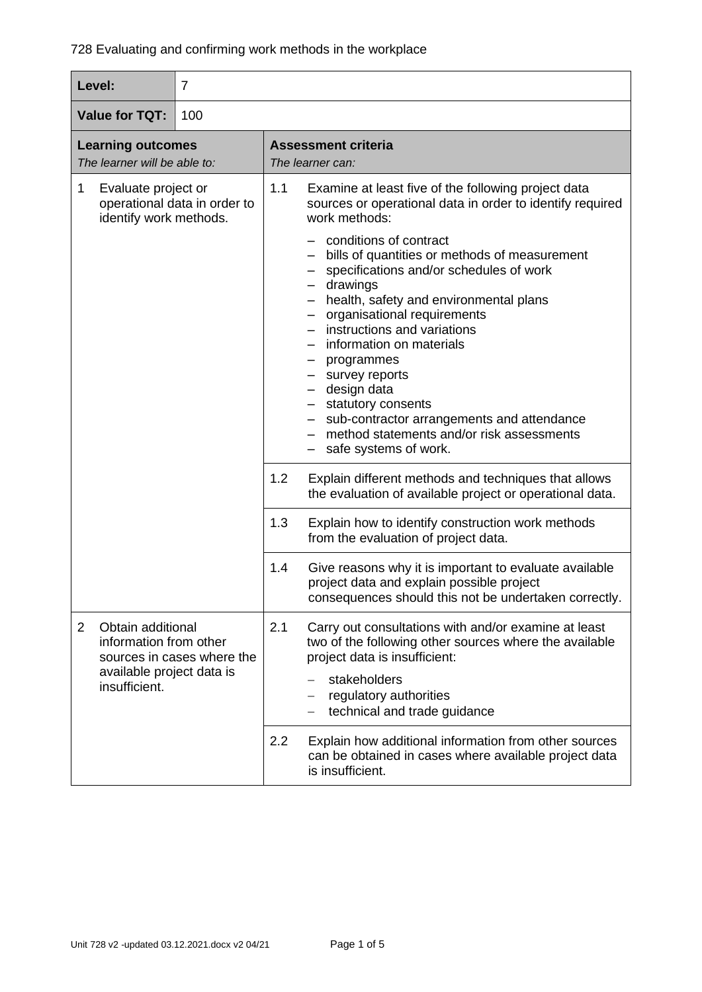| Level:                                                                                         | $\overline{7}$             |                                                |                                                                                                                                                                                                                                                                                                                                                                                                                                                                                                                                                                                                                    |
|------------------------------------------------------------------------------------------------|----------------------------|------------------------------------------------|--------------------------------------------------------------------------------------------------------------------------------------------------------------------------------------------------------------------------------------------------------------------------------------------------------------------------------------------------------------------------------------------------------------------------------------------------------------------------------------------------------------------------------------------------------------------------------------------------------------------|
| <b>Value for TQT:</b><br>100                                                                   |                            |                                                |                                                                                                                                                                                                                                                                                                                                                                                                                                                                                                                                                                                                                    |
| <b>Learning outcomes</b><br>The learner will be able to:                                       |                            | <b>Assessment criteria</b><br>The learner can: |                                                                                                                                                                                                                                                                                                                                                                                                                                                                                                                                                                                                                    |
| 1<br>Evaluate project or<br>operational data in order to<br>identify work methods.             |                            | 1.1                                            | Examine at least five of the following project data<br>sources or operational data in order to identify required<br>work methods:<br>conditions of contract<br>bills of quantities or methods of measurement<br>specifications and/or schedules of work<br>- drawings<br>- health, safety and environmental plans<br>- organisational requirements<br>instructions and variations<br>information on materials<br>- programmes<br>- survey reports<br>- design data<br>- statutory consents<br>- sub-contractor arrangements and attendance<br>method statements and/or risk assessments<br>- safe systems of work. |
|                                                                                                |                            | 1.2                                            | Explain different methods and techniques that allows<br>the evaluation of available project or operational data.                                                                                                                                                                                                                                                                                                                                                                                                                                                                                                   |
|                                                                                                |                            | 1.3                                            | Explain how to identify construction work methods<br>from the evaluation of project data.                                                                                                                                                                                                                                                                                                                                                                                                                                                                                                                          |
|                                                                                                |                            | 1.4                                            | Give reasons why it is important to evaluate available<br>project data and explain possible project<br>consequences should this not be undertaken correctly.                                                                                                                                                                                                                                                                                                                                                                                                                                                       |
| Obtain additional<br>2<br>information from other<br>available project data is<br>insufficient. | sources in cases where the | 2.1                                            | Carry out consultations with and/or examine at least<br>two of the following other sources where the available<br>project data is insufficient:<br>stakeholders<br>regulatory authorities<br>technical and trade guidance                                                                                                                                                                                                                                                                                                                                                                                          |
|                                                                                                |                            | 2.2                                            | Explain how additional information from other sources<br>can be obtained in cases where available project data<br>is insufficient.                                                                                                                                                                                                                                                                                                                                                                                                                                                                                 |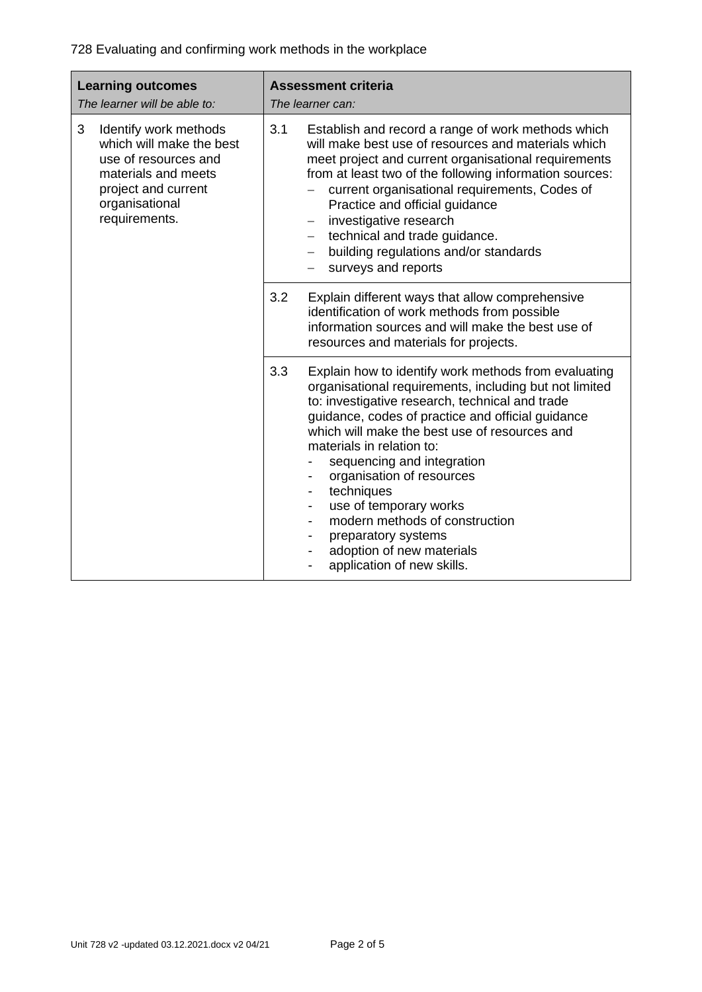728 Evaluating and confirming work methods in the workplace

| <b>Learning outcomes</b><br>The learner will be able to:                                                                                                        | <b>Assessment criteria</b><br>The learner can:                                                                                                                                                                                                                                                                                                                                                                                                                                                                                                                                             |  |
|-----------------------------------------------------------------------------------------------------------------------------------------------------------------|--------------------------------------------------------------------------------------------------------------------------------------------------------------------------------------------------------------------------------------------------------------------------------------------------------------------------------------------------------------------------------------------------------------------------------------------------------------------------------------------------------------------------------------------------------------------------------------------|--|
| 3<br>Identify work methods<br>which will make the best<br>use of resources and<br>materials and meets<br>project and current<br>organisational<br>requirements. | 3.1<br>Establish and record a range of work methods which<br>will make best use of resources and materials which<br>meet project and current organisational requirements<br>from at least two of the following information sources:<br>current organisational requirements, Codes of<br>Practice and official guidance<br>investigative research<br>$\overline{\phantom{m}}$<br>technical and trade guidance.<br>building regulations and/or standards<br>$\overline{\phantom{m}}$<br>surveys and reports                                                                                  |  |
|                                                                                                                                                                 | 3.2<br>Explain different ways that allow comprehensive<br>identification of work methods from possible<br>information sources and will make the best use of<br>resources and materials for projects.                                                                                                                                                                                                                                                                                                                                                                                       |  |
|                                                                                                                                                                 | 3.3<br>Explain how to identify work methods from evaluating<br>organisational requirements, including but not limited<br>to: investigative research, technical and trade<br>guidance, codes of practice and official guidance<br>which will make the best use of resources and<br>materials in relation to:<br>sequencing and integration<br>organisation of resources<br>techniques<br>$\overline{\phantom{a}}$<br>use of temporary works<br>$\overline{\phantom{a}}$<br>modern methods of construction<br>preparatory systems<br>adoption of new materials<br>application of new skills. |  |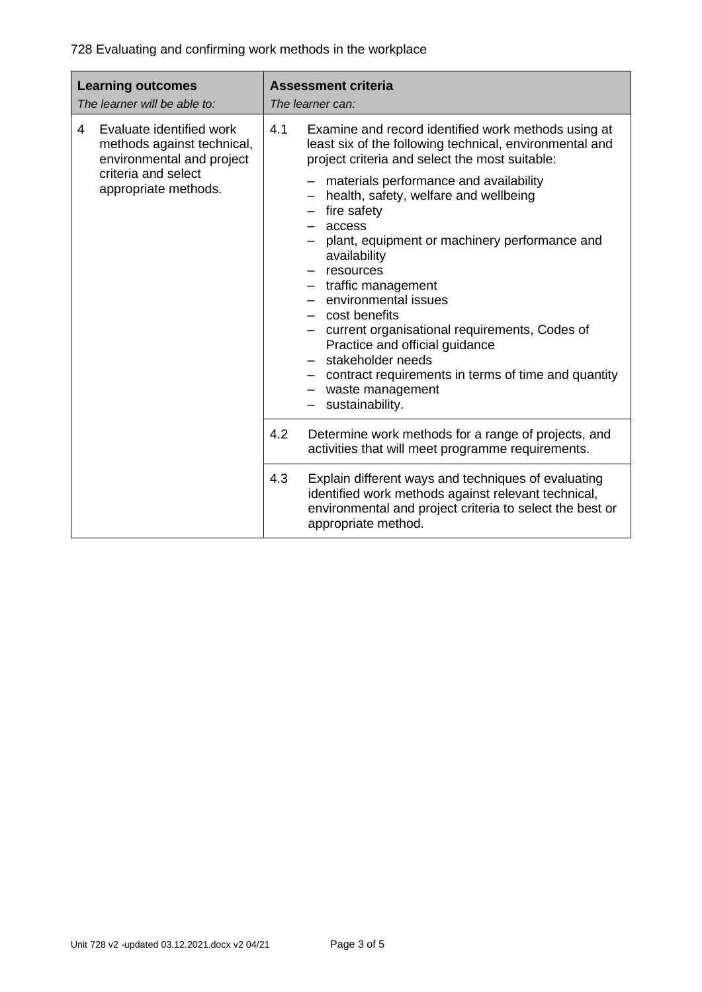728 Evaluating and confirming work methods in the workplace

| <b>Learning outcomes</b><br>The learner will be able to: |                                                                                                                                    |     | <b>Assessment criteria</b><br>The learner can:                                                                                                                                                                                                                                                                                                                                                                                                                                                                                                                                                                                            |
|----------------------------------------------------------|------------------------------------------------------------------------------------------------------------------------------------|-----|-------------------------------------------------------------------------------------------------------------------------------------------------------------------------------------------------------------------------------------------------------------------------------------------------------------------------------------------------------------------------------------------------------------------------------------------------------------------------------------------------------------------------------------------------------------------------------------------------------------------------------------------|
| 4                                                        | Evaluate identified work<br>methods against technical,<br>environmental and project<br>criteria and select<br>appropriate methods. | 4.1 | Examine and record identified work methods using at<br>least six of the following technical, environmental and<br>project criteria and select the most suitable:<br>materials performance and availability<br>health, safety, welfare and wellbeing<br>fire safety<br>access<br>plant, equipment or machinery performance and<br>availability<br>resources<br>- traffic management<br>- environmental issues<br>- cost benefits<br>current organisational requirements, Codes of<br>Practice and official guidance<br>stakeholder needs<br>contract requirements in terms of time and quantity<br>- waste management<br>- sustainability. |
|                                                          |                                                                                                                                    | 4.2 | Determine work methods for a range of projects, and<br>activities that will meet programme requirements.                                                                                                                                                                                                                                                                                                                                                                                                                                                                                                                                  |
|                                                          |                                                                                                                                    | 4.3 | Explain different ways and techniques of evaluating<br>identified work methods against relevant technical,<br>environmental and project criteria to select the best or<br>appropriate method.                                                                                                                                                                                                                                                                                                                                                                                                                                             |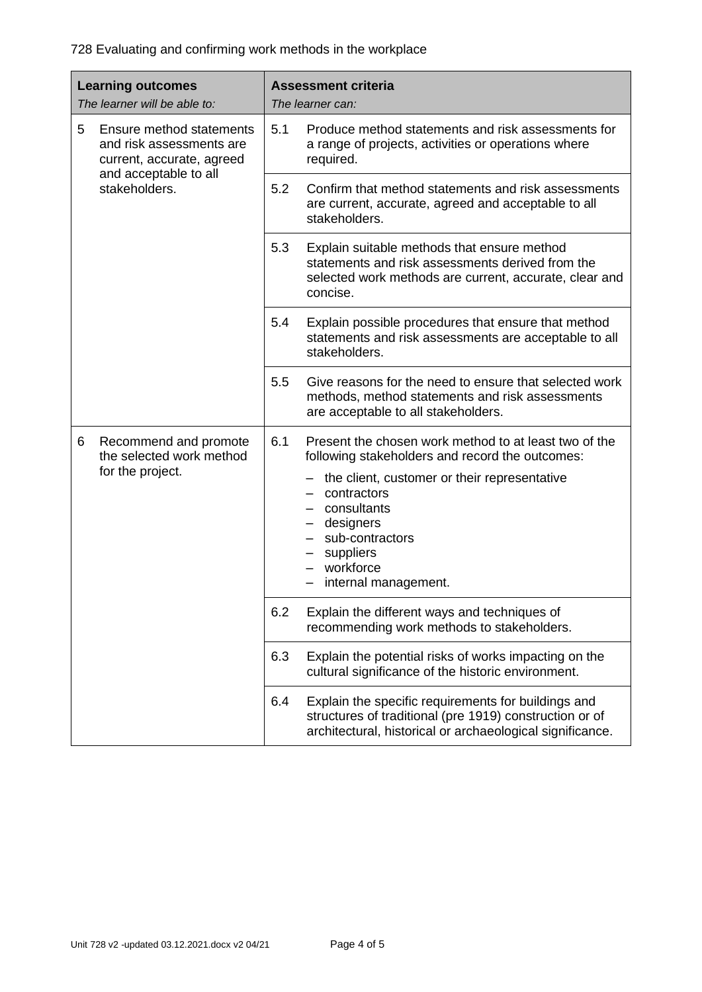728 Evaluating and confirming work methods in the workplace

| <b>Learning outcomes</b><br>The learner will be able to:                               | <b>Assessment criteria</b><br>The learner can:                                                                                                                                                                                                                                  |  |
|----------------------------------------------------------------------------------------|---------------------------------------------------------------------------------------------------------------------------------------------------------------------------------------------------------------------------------------------------------------------------------|--|
| Ensure method statements<br>5<br>and risk assessments are<br>current, accurate, agreed | 5.1<br>Produce method statements and risk assessments for<br>a range of projects, activities or operations where<br>required.                                                                                                                                                   |  |
| and acceptable to all<br>stakeholders.                                                 | 5.2<br>Confirm that method statements and risk assessments<br>are current, accurate, agreed and acceptable to all<br>stakeholders.                                                                                                                                              |  |
|                                                                                        | 5.3<br>Explain suitable methods that ensure method<br>statements and risk assessments derived from the<br>selected work methods are current, accurate, clear and<br>concise.                                                                                                    |  |
|                                                                                        | 5.4<br>Explain possible procedures that ensure that method<br>statements and risk assessments are acceptable to all<br>stakeholders.                                                                                                                                            |  |
|                                                                                        | 5.5<br>Give reasons for the need to ensure that selected work<br>methods, method statements and risk assessments<br>are acceptable to all stakeholders.                                                                                                                         |  |
| 6<br>Recommend and promote<br>the selected work method<br>for the project.             | 6.1<br>Present the chosen work method to at least two of the<br>following stakeholders and record the outcomes:<br>the client, customer or their representative<br>contractors<br>consultants<br>designers<br>sub-contractors<br>suppliers<br>workforce<br>internal management. |  |
|                                                                                        | 6.2<br>Explain the different ways and techniques of<br>recommending work methods to stakeholders.                                                                                                                                                                               |  |
|                                                                                        | 6.3<br>Explain the potential risks of works impacting on the<br>cultural significance of the historic environment.                                                                                                                                                              |  |
|                                                                                        | 6.4<br>Explain the specific requirements for buildings and<br>structures of traditional (pre 1919) construction or of<br>architectural, historical or archaeological significance.                                                                                              |  |